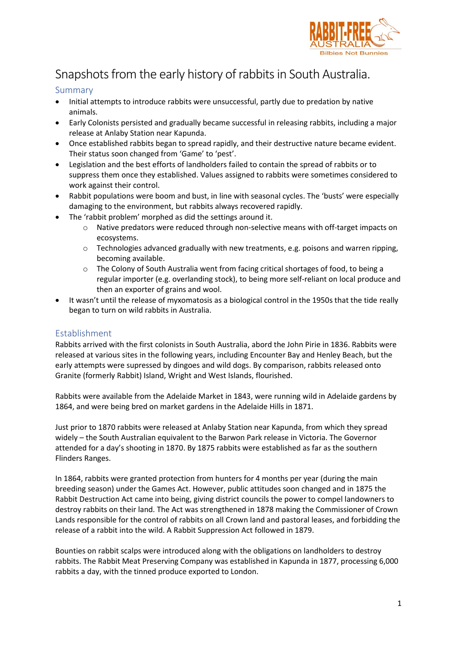

# Snapshots from the early history of rabbits in South Australia.

### Summary

- Initial attempts to introduce rabbits were unsuccessful, partly due to predation by native animals.
- Early Colonists persisted and gradually became successful in releasing rabbits, including a major release at Anlaby Station near Kapunda.
- Once established rabbits began to spread rapidly, and their destructive nature became evident. Their status soon changed from 'Game' to 'pest'.
- Legislation and the best efforts of landholders failed to contain the spread of rabbits or to suppress them once they established. Values assigned to rabbits were sometimes considered to work against their control.
- Rabbit populations were boom and bust, in line with seasonal cycles. The 'busts' were especially damaging to the environment, but rabbits always recovered rapidly.
- The 'rabbit problem' morphed as did the settings around it.
	- o Native predators were reduced through non-selective means with off-target impacts on ecosystems.
	- o Technologies advanced gradually with new treatments, e.g. poisons and warren ripping, becoming available.
	- o The Colony of South Australia went from facing critical shortages of food, to being a regular importer (e.g. overlanding stock), to being more self-reliant on local produce and then an exporter of grains and wool.
- It wasn't until the release of myxomatosis as a biological control in the 1950s that the tide really began to turn on wild rabbits in Australia.

### Establishment

Rabbits arrived with the first colonists in South Australia, abord the John Pirie in 1836. Rabbits were released at various sites in the following years, including Encounter Bay and Henley Beach, but the early attempts were supressed by dingoes and wild dogs. By comparison, rabbits released onto Granite (formerly Rabbit) Island, Wright and West Islands, flourished.

Rabbits were available from the Adelaide Market in 1843, were running wild in Adelaide gardens by 1864, and were being bred on market gardens in the Adelaide Hills in 1871.

Just prior to 1870 rabbits were released at Anlaby Station near Kapunda, from which they spread widely – the South Australian equivalent to the Barwon Park release in Victoria. The Governor attended for a day's shooting in 1870. By 1875 rabbits were established as far as the southern Flinders Ranges.

In 1864, rabbits were granted protection from hunters for 4 months per year (during the main breeding season) under the Games Act. However, public attitudes soon changed and in 1875 the Rabbit Destruction Act came into being, giving district councils the power to compel landowners to destroy rabbits on their land. The Act was strengthened in 1878 making the Commissioner of Crown Lands responsible for the control of rabbits on all Crown land and pastoral leases, and forbidding the release of a rabbit into the wild. A Rabbit Suppression Act followed in 1879.

Bounties on rabbit scalps were introduced along with the obligations on landholders to destroy rabbits. The Rabbit Meat Preserving Company was established in Kapunda in 1877, processing 6,000 rabbits a day, with the tinned produce exported to London.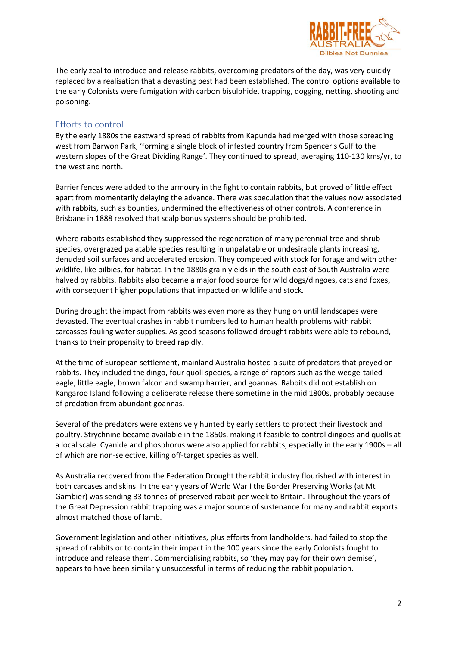

The early zeal to introduce and release rabbits, overcoming predators of the day, was very quickly replaced by a realisation that a devasting pest had been established. The control options available to the early Colonists were fumigation with carbon bisulphide, trapping, dogging, netting, shooting and poisoning.

#### Efforts to control

By the early 1880s the eastward spread of rabbits from Kapunda had merged with those spreading west from Barwon Park, 'forming a single block of infested country from Spencer's Gulf to the western slopes of the Great Dividing Range'. They continued to spread, averaging 110-130 kms/yr, to the west and north.

Barrier fences were added to the armoury in the fight to contain rabbits, but proved of little effect apart from momentarily delaying the advance. There was speculation that the values now associated with rabbits, such as bounties, undermined the effectiveness of other controls. A conference in Brisbane in 1888 resolved that scalp bonus systems should be prohibited.

Where rabbits established they suppressed the regeneration of many perennial tree and shrub species, overgrazed palatable species resulting in unpalatable or undesirable plants increasing, denuded soil surfaces and accelerated erosion. They competed with stock for forage and with other wildlife, like bilbies, for habitat. In the 1880s grain yields in the south east of South Australia were halved by rabbits. Rabbits also became a major food source for wild dogs/dingoes, cats and foxes, with consequent higher populations that impacted on wildlife and stock.

During drought the impact from rabbits was even more as they hung on until landscapes were devasted. The eventual crashes in rabbit numbers led to human health problems with rabbit carcasses fouling water supplies. As good seasons followed drought rabbits were able to rebound, thanks to their propensity to breed rapidly.

At the time of European settlement, mainland Australia hosted a suite of predators that preyed on rabbits. They included the dingo, four quoll species, a range of raptors such as the wedge-tailed eagle, little eagle, brown falcon and swamp harrier, and goannas. Rabbits did not establish on Kangaroo Island following a deliberate release there sometime in the mid 1800s, probably because of predation from abundant goannas.

Several of the predators were extensively hunted by early settlers to protect their livestock and poultry. Strychnine became available in the 1850s, making it feasible to control dingoes and quolls at a local scale. Cyanide and phosphorus were also applied for rabbits, especially in the early 1900s – all of which are non-selective, killing off-target species as well.

As Australia recovered from the Federation Drought the rabbit industry flourished with interest in both carcases and skins. In the early years of World War I the Border Preserving Works (at Mt Gambier) was sending 33 tonnes of preserved rabbit per week to Britain. Throughout the years of the Great Depression rabbit trapping was a major source of sustenance for many and rabbit exports almost matched those of lamb.

Government legislation and other initiatives, plus efforts from landholders, had failed to stop the spread of rabbits or to contain their impact in the 100 years since the early Colonists fought to introduce and release them. Commercialising rabbits, so 'they may pay for their own demise', appears to have been similarly unsuccessful in terms of reducing the rabbit population.